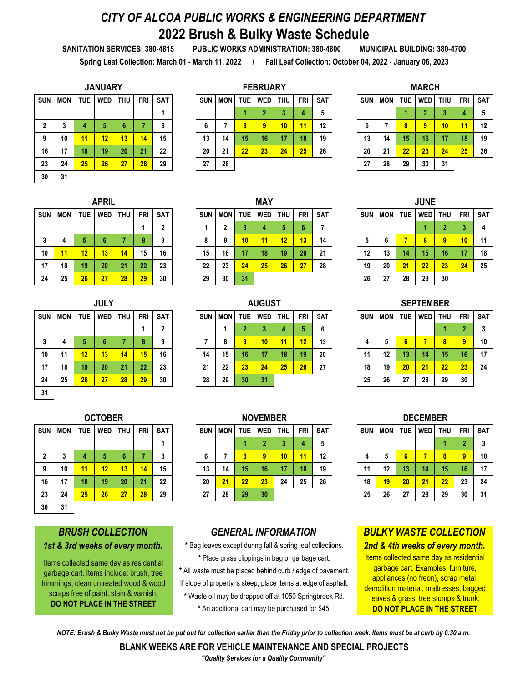## *CITY OF ALCOA PUBLIC WORKS & ENGINEERING DEPARTMENT* **2022 Brush & Bulky Waste Schedule**

SANITATION SERVICES: 380-4815 PUBLIC WORKS ADMINISTRATION: 380-4800 MUNICIPAL BUILDING: 380-4700

**Spring Leaf Collection: March 01 - March 11, 2022 / Fall Leaf Collection: October 04, 2022 - January 06, 2023**

| JANUARY |
|---------|
|         |

| <b>SUN</b>       | <b>MON</b> | <b>TUE</b> | <b>WED</b> | <b>THU</b> | <b>FRI</b> | <b>SAT</b> |
|------------------|------------|------------|------------|------------|------------|------------|
|                  |            |            |            |            |            |            |
| $\boldsymbol{2}$ | 3          | 4          | 5          | 6          | 7          | 8          |
| 9                | 10         | 11         | 12         | 13         | 14         | 15         |
| 16               | 17         | 18         | 19         | 20         | 21         | 22         |
| 23               | 24         | 25         | 26         | 27         | 28         | 29         |
| 30               | 31         |            |            |            |            |            |

|     |            |            | <b>JANUARY</b> | <b>FEBRUARY</b><br><b>SAT</b><br><b>THU</b><br><b>TUE</b><br><b>WED</b><br>THU<br><b>FRI</b><br><b>SAT</b><br>FRI<br><b>SUN</b><br><b>MON</b><br>д<br>11<br>12<br>8<br>8<br>10<br>6<br>9<br>6 |    |    |  |    |    |    |    |    |    |    |  |            |     |            | <b>MARCH</b>     |     |            |                 |
|-----|------------|------------|----------------|-----------------------------------------------------------------------------------------------------------------------------------------------------------------------------------------------|----|----|--|----|----|----|----|----|----|----|--|------------|-----|------------|------------------|-----|------------|-----------------|
| SUN | <b>MON</b> | <b>TUE</b> | <b>WED</b>     |                                                                                                                                                                                               |    |    |  |    |    |    |    |    |    |    |  | <b>SUN</b> | MON | <b>TUE</b> | <b>WED</b>       | THU | <b>FRI</b> | SA <sub>1</sub> |
|     |            |            |                |                                                                                                                                                                                               |    |    |  |    |    |    |    |    |    |    |  |            |     |            |                  |     |            | 5               |
|     | n<br>J.    |            |                |                                                                                                                                                                                               |    |    |  |    |    |    |    |    |    |    |  | 6          |     |            | $\boldsymbol{9}$ | 10  | 11         | 12              |
| 9   | 10         | 11         | 12             | 13                                                                                                                                                                                            | 14 | 15 |  | 13 | 14 | 15 | 16 | 17 | 18 | 19 |  | 13         | 14  | 15         | 16               | 17  | 18         | 19              |
| 16  | 17         | 18         | 19             | 20                                                                                                                                                                                            | 21 | 22 |  | 20 | 21 | 22 | 23 | 24 | 25 | 26 |  | 20         | 21  | 22         | 23               | 24  | 25         | 26              |
| 23  | 24         | 25         | 26             | 27                                                                                                                                                                                            | 28 | 29 |  | 27 | 28 |    |    |    |    |    |  | 27         | 28  | 29         | 30               | 31  |            |                 |
|     |            |            |                |                                                                                                                                                                                               |    |    |  |    |    |    |    |    |    |    |  |            |     |            |                  |     |            |                 |

|    |            |    | <b>MARCH</b>   |            |            |                 |
|----|------------|----|----------------|------------|------------|-----------------|
| JN | <b>MON</b> |    | TUE   WED      | <b>THU</b> | <b>FRI</b> | SA <sub>1</sub> |
|    |            |    | $\overline{2}$ | 3          | 4          | 5               |
| ô  | 7          | 8  | 9              | 10         | 11         | 12              |
| 3  | 14         | 15 | 16             | 17         | 18         | 19              |
| 0  | 21         | 22 | 23             | 24         | 25         | 26              |

|                |              |            |            |     | <b>MAY</b> |     |            |            |            |            |            | <b>JUNE</b> |            |     |            |
|----------------|--------------|------------|------------|-----|------------|-----|------------|------------|------------|------------|------------|-------------|------------|-----|------------|
| RI.            | <b>SAT</b>   | <b>SUN</b> | <b>MON</b> | TUE | <b>WED</b> | THU | <b>FRI</b> | <b>SAT</b> | <b>SUN</b> | <b>MON</b> | <b>TUE</b> | <b>WED</b>  | <b>THU</b> | FRI | <b>SAT</b> |
|                | $\mathbf{2}$ |            | 2          | 3   | 4          | 5   | 6          | 7          |            |            |            |             | 2          | 3   | 4          |
| 8              | 9            | 8          | 9          | 10  | 11         | 12  | 13         | 14         | 5          | 6          | 7          | 8           | 9          | 10  | 11         |
| 15             | 16           | 15         | 16         | 17  | 18         | 19  | 20         | 21         | 12         | 13         | 14         | 15          | 16         | 17  | 18         |
| $\overline{2}$ | 23           | 22         | 23         | 24  | 25         | 26  | 27         | 28         | 19         | 20         | 21         | 22          | 23         | 24  | 25         |
| 29             | 30           | 29         | 30         | 31  |            |     |            |            | 26         | 27         | 28         | 29          | 30         |     |            |

|            |            |            | <b>SEPTEMBER</b> |            |                |     |
|------------|------------|------------|------------------|------------|----------------|-----|
| <b>SUN</b> | <b>MON</b> | <b>TUE</b> | <b>WED</b>       | <b>THU</b> | <b>FRI</b>     | SAT |
|            |            |            |                  |            | $\overline{2}$ | 3   |
| 4          | 5          | 6          |                  | 8          | 9              | 10  |
| 11         | 12         | 13         | 14               | 15         | 16             | 17  |
| 18         | 19         | 20         | 21               | 22         | 23             | 24  |
| 25         | 26         | 27         | 28               | 29         | 30             |     |

|            |            |                 | <b>DECEMBER</b> |            |                |            |
|------------|------------|-----------------|-----------------|------------|----------------|------------|
| <b>SUN</b> | <b>MON</b> | <b>TUE</b>      | <b>WED</b>      | <b>THU</b> | <b>FRI</b>     | <b>SAT</b> |
|            |            |                 |                 |            | $\overline{2}$ | 3          |
| 4          | 5          | $6\phantom{.0}$ |                 | 8          | 9              | 10         |
| 11         | 12         | 13              | 14              | 15         | 16             | 17         |
| 18         | 19         | 20              | 21              | 22         | 23             | 24         |
| 25         | 26         | 27              | 28              | 29         | 30             | 31         |

#### *BRUSH COLLECTION BULKY WASTE COLLECTION 2nd & 4th weeks of every month.*

Items collected same day as residential garbage cart. Examples: furniture, appliances (no freon), scrap metal, demolition material, mattresses, bagged leaves & grass, tree stumps & trunk. **DO NOT PLACE IN THE STREET**

| 23  | 24         | 25         | 26           | 27         | 28         | 29           | 27         | 28         |            |               |            |            |            | 27         | 28         | 29         | 30               | -31        |            |                 |
|-----|------------|------------|--------------|------------|------------|--------------|------------|------------|------------|---------------|------------|------------|------------|------------|------------|------------|------------------|------------|------------|-----------------|
| 30  | 31         |            |              |            |            |              |            |            |            |               |            |            |            |            |            |            |                  |            |            |                 |
|     |            |            |              |            |            |              |            |            |            |               |            |            |            |            |            |            |                  |            |            |                 |
|     |            |            | <b>APRIL</b> |            |            |              |            |            |            | <b>MAY</b>    |            |            |            |            |            |            | <b>JUNE</b>      |            |            |                 |
| SUN | <b>MON</b> | <b>TUE</b> | <b>WED</b>   | <b>THU</b> | <b>FRI</b> | <b>SAT</b>   | <b>SUN</b> | <b>MON</b> | <b>TUE</b> | <b>WED</b>    | <b>THU</b> | <b>FRI</b> | <b>SAT</b> | <b>SUN</b> | <b>MON</b> | <b>TUE</b> | <b>WED</b>       | <b>THU</b> | <b>FRI</b> | SA <sub>1</sub> |
|     |            |            |              |            |            | $\mathbf{2}$ |            | 2          | 3          | 4             | 5          | 6          | 7          |            |            |            |                  | 2          | 3          | 4               |
| 3   | 4          | 5          | 6            | 7          | 8          | 9            | 8          | 9          | 10         | 11            | 12         | 13         | 14         | 5          | 6          | 7          | 8                | 9          | 10         | 11              |
| 10  | 11         | 12         | 13           | 14         | 15         | 16           | 15         | 16         | 17         | 18            | 19         | 20         | 21         | 12         | 13         | 14         | 15               | 16         | 17         | 18              |
| 17  | 18         | 19         | 20           | 21         | 22         | 23           | 22         | 23         | 24         | 25            | 26         | 27         | 28         | 19         | 20         | 21         | 22               | 23         | 24         | 25              |
| 24  | 25         | 26         | 27           | 28         | 29         | 30           | 29         | 30         | 31         |               |            |            |            | 26         | 27         | 28         | 29               | 30         |            |                 |
|     |            |            |              |            |            |              |            |            |            |               |            |            |            |            |            |            |                  |            |            |                 |
|     |            |            | <b>JULY</b>  |            |            |              |            |            |            | <b>AUGUST</b> |            |            |            |            |            |            | <b>SEPTEMBER</b> |            |            |                 |
|     |            |            |              |            |            |              |            |            |            |               |            |            |            |            |            |            |                  |            |            |                 |

|            |     |            | <b>JULY</b> |            |     |            |            |            |            | <b>AUGUST</b> |              |            |            |            |            |                 | <b>SEPIEMBER</b> |            |      |                 |
|------------|-----|------------|-------------|------------|-----|------------|------------|------------|------------|---------------|--------------|------------|------------|------------|------------|-----------------|------------------|------------|------|-----------------|
| <b>SUN</b> | MON | <b>TUE</b> | <b>WED</b>  | <b>THU</b> | FRI | <b>SAT</b> | <b>SUN</b> | <b>MON</b> | <b>TUE</b> | <b>WED</b>    | <b>THU</b>   | <b>FRI</b> | <b>SAT</b> | <b>SUN</b> | <b>MON</b> | <b>TUE</b>      | <b>WED</b>       | <b>THU</b> | FRI  | SA <sub>1</sub> |
|            |     |            |             |            |     | ົ          |            |            |            |               |              |            | 6          |            |            |                 |                  |            |      | -3              |
| 3          |     | 5          | 6           |            |     | 9          |            | 8          | 9          | 10            | 11           | 12         | 13         | 4          | 5          | 6               |                  | 8          | 9    | 10              |
| 10         | 11  | 12         | 13          | 14         | 15  | 16         | 14         | 15         | 16         | 17            | 18           | 19         | 20         | 11         | $12 \,$    | 13              | 14               | 15         | 16   | 17              |
| 17         | 18  | 19         | 20          | 21         | 22  | 23         | 21         | 22         | 23         | 24            | $25^{\circ}$ | 26         | 27         | 18         | 19         | 20 <sub>2</sub> | 21               | 22         | 23   | -24             |
| 24         | 25  | 26         | 27          | 28         | 29  | 30         | 28         | 29         | 30         | 31            |              |            |            | 25         | 26         | 27              | 28               | 29         | - 30 |                 |
| 31         |     |            |             |            |     |            |            |            |            |               |              |            |            |            |            |                 |                  |            |      |                 |

|             |            |            | <b>OCTOBER</b> |            |            |            |
|-------------|------------|------------|----------------|------------|------------|------------|
| <b>SUN</b>  | <b>MON</b> | <b>TUE</b> | <b>WED</b>     | <b>THU</b> | <b>FRI</b> | <b>SAT</b> |
|             |            |            |                |            |            |            |
| $\mathbf 2$ | 3          | 4          | 5              | 6          | 7          | 8          |
| 9           | 10         | 11         | 12             | 13         | 14         | 15         |
| 16          | 17         | 18         | 19             | 20         | 21         | 22         |
| 23          | 24         | 25         | 26             | 27         | 28         | 29         |
| 30          | 31         |            |                |            |            |            |

# *1st & 3rd weeks of every month.*

Items collected same day as residential garbage cart. Items include: brush, tree trimmings, clean untreated wood & wood scraps free of paint, stain & varnish. **DO NOT PLACE IN THE STREET**

|     |            |     | <b>JULY</b> |     |     |            |            |            |            | <b>AUGUST</b> |     |            |            |            |            |            | <b>SEPTEMBER</b> |            |            |           |
|-----|------------|-----|-------------|-----|-----|------------|------------|------------|------------|---------------|-----|------------|------------|------------|------------|------------|------------------|------------|------------|-----------|
| ίUΝ | <b>MON</b> | tue | <b>WED</b>  | THU | FRI | <b>SAT</b> | <b>SUN</b> | <b>MON</b> | <b>TUE</b> | <b>WED</b>    | THU | <b>FRI</b> | <b>SAT</b> | <b>SUN</b> | <b>MON</b> | <b>TUE</b> | <b>WED</b>       | <b>THU</b> | <b>FRI</b> | <b>SA</b> |
|     |            |     |             |     |     |            |            |            | .,         |               |     |            | n          |            |            |            |                  |            |            |           |
| 3   |            |     | 6           |     | 8   | $\Omega$   |            |            | 9          | 10            | 11  | 12         | 13         | 4          | ۰.         | 6          |                  | 8          | ٥          | 10        |
| 10  | 11         | 12  | 13          | 14  | 15  | 16         | 14         | 15         | 16         | 17            | 18  | 19         | 20         | 11         | 12         | 13         | 14               | 15         | 16         | 17        |
| 17  | 18         | 19  | 20          | 21  | 22  | 23         | 21         | າາ<br>LL   | 23         | 24            | 25  | 26         | 27         | 18         | 19         | 20         | 21               | 22         | 23         | 24        |
| 24  | 25         | 26  | 27          | 28  | 29  | 30         | 28         | 29         | 30         | 31            |     |            |            | 25         | 26         | 27         | 28               | 29         | 30         |           |

|     |            |            | <b>OCTOBER</b> |            |            |            |            |            |            | <b>NOVEMBER</b> |            |                 |            |            |            |            | <b>DECEMBER</b> |            |            |                 |
|-----|------------|------------|----------------|------------|------------|------------|------------|------------|------------|-----------------|------------|-----------------|------------|------------|------------|------------|-----------------|------------|------------|-----------------|
| SUN | <b>MON</b> | <b>TUE</b> | <b>WED</b>     | <b>THU</b> | <b>FRI</b> | <b>SAT</b> | <b>SUN</b> | <b>MON</b> | <b>TUE</b> | <b>WED</b>      | <b>THU</b> | <b>FRI</b>      | <b>SAT</b> | <b>SUN</b> | <b>MON</b> | <b>TUE</b> | <b>WED</b>      | <b>THU</b> | <b>FRI</b> | SA <sub>1</sub> |
|     |            |            |                |            |            |            |            |            |            |                 |            |                 |            |            |            |            |                 |            |            | 3               |
|     | ٠<br>o     |            |                |            |            | 8          | 6          |            | 8          | 9               | 10         | $\overline{11}$ | $12 \,$    | 4          |            |            |                 |            | 9          | 10              |
| 9   | 10         | 11         | 12             | 13         | 14         | 15         | 13         | 14         | 15         | 16              | 17         | 18              | 19         | 11         | 12         | 13         | 14              | 15         | 16         | 17              |
| 16  | 17         | 18         | 19             | 20         | 21         | 22         | 20         | 21         | 22         | 23              | 24         | 25              | 26         | 18         | 19         | 20         | 21              | 22         | 23         | 24              |
| 23  | 24         | 25         | 26             | 27         | 28         | 29         | 27         | 28         | 29         | 30              |            |                 |            | 25         | 26         | 27         | 28              | 29         | 30         | 31              |

#### *GENERAL INFORMATION*

**\*** Bag leaves except during fall & spring leaf collections.

- **\*** Place grass clippings in bag or garbage cart.
- **\*** All waste must be placed behind curb / edge of pavement.
- If slope of property is steep, place items at edge of asphalt.
- **\*** Waste oil may be dropped off at 1050 Springbrook Rd.
	- **\*** An additional cart may be purchased for \$45.

*NOTE: Brush & Bulky Waste must not be put out for collection earlier than the Friday prior to collection week. Items must be at curb by 6:30 a.m.*

**BLANK WEEKS ARE FOR VEHICLE MAINTENANCE AND SPECIAL PROJECTS**

*"Quality Services for a Quality Community"*

| MAY |  |
|-----|--|